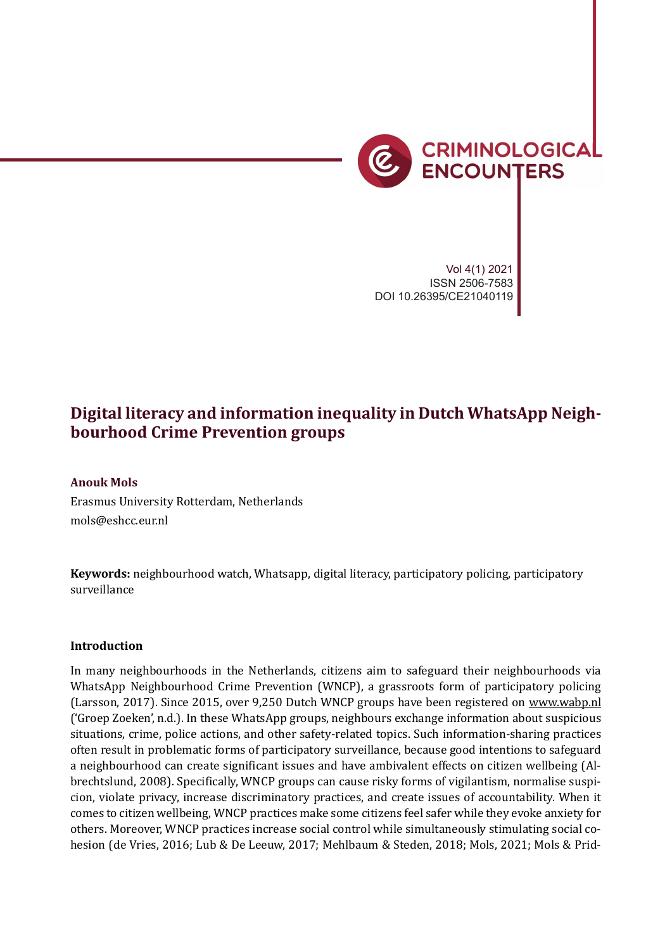

*Technical solutions to social problems* 223

Vol 4(1) 2021 ISSN 2506-7583 DOI 10.26395/CE21040119

# **Digital literacy and information inequality in Dutch WhatsApp Neighbourhood Crime Prevention groups**

## **Anouk Mols**

Erasmus University Rotterdam, Netherlands mols@eshcc.eur.nl

**Keywords:** neighbourhood watch, Whatsapp, digital literacy, participatory policing, participatory surveillance

#### **Introduction**

In many neighbourhoods in the Netherlands, citizens aim to safeguard their neighbourhoods via WhatsApp Neighbourhood Crime Prevention (WNCP), a grassroots form of participatory policing (Larsson, 2017). Since 2015, over 9,250 Dutch WNCP groups have been registered on www.wabp.nl ('Groep Zoeken', n.d.). In these WhatsApp groups, neighbours exchange information about suspicious situations, crime, police actions, and other safety-related topics. Such information-sharing practices often result in problematic forms of participatory surveillance, because good intentions to safeguard a neighbourhood can create significant issues and have ambivalent effects on citizen wellbeing (Albrechtslund, 2008). Speci�ically, WNCP groups can cause risky forms of vigilantism, normalise suspicion, violate privacy, increase discriminatory practices, and create issues of accountability. When it comes to citizen wellbeing, WNCP practices make some citizens feel safer while they evoke anxiety for others. Moreover, WNCP practices increase social control while simultaneously stimulating social cohesion (de Vries, 2016; Lub & De Leeuw, 2017; Mehlbaum & Steden, 2018; Mols, 2021; Mols & Prid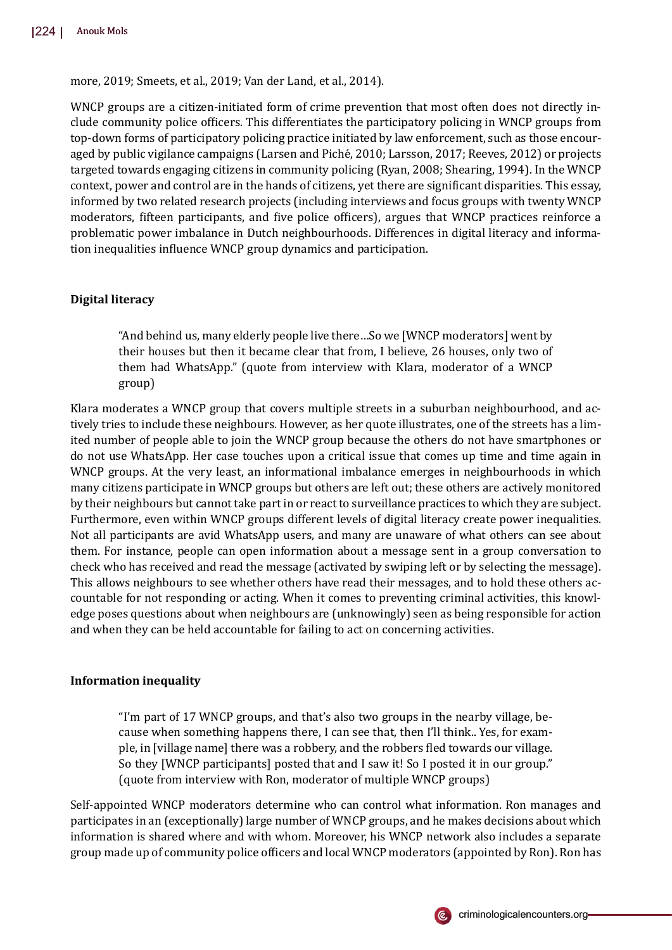more, 2019; Smeets, et al., 2019; Van der Land, et al., 2014).

WNCP groups are a citizen-initiated form of crime prevention that most often does not directly include community police of�icers. This differentiates the participatory policing in WNCP groups from top-down forms of participatory policing practice initiated by law enforcement, such as those encouraged by public vigilance campaigns (Larsen and Piché, 2010; Larsson, 2017; Reeves, 2012) or projects targeted towards engaging citizens in community policing (Ryan, 2008; Shearing, 1994). In the WNCP context, power and control are in the hands of citizens, yet there are signi�icant disparities. This essay, informed by two related research projects (including interviews and focus groups with twenty WNCP moderators, fifteen participants, and five police officers), argues that WNCP practices reinforce a problematic power imbalance in Dutch neighbourhoods. Differences in digital literacy and information inequalities in�luence WNCP group dynamics and participation.

# **Digital literacy**

"And behind us, many elderly people live there…So we [WNCP moderators] went by their houses but then it became clear that from, I believe, 26 houses, only two of them had WhatsApp." (quote from interview with Klara, moderator of a WNCP group)

Klara moderates a WNCP group that covers multiple streets in a suburban neighbourhood, and actively tries to include these neighbours. However, as her quote illustrates, one of the streets has a limited number of people able to join the WNCP group because the others do not have smartphones or do not use WhatsApp. Her case touches upon a critical issue that comes up time and time again in WNCP groups. At the very least, an informational imbalance emerges in neighbourhoods in which many citizens participate in WNCP groups but others are left out; these others are actively monitored by their neighbours but cannot take part in or react to surveillance practices to which they are subject. Furthermore, even within WNCP groups different levels of digital literacy create power inequalities. Not all participants are avid WhatsApp users, and many are unaware of what others can see about them. For instance, people can open information about a message sent in a group conversation to check who has received and read the message (activated by swiping left or by selecting the message). This allows neighbours to see whether others have read their messages, and to hold these others accountable for not responding or acting. When it comes to preventing criminal activities, this knowledge poses questions about when neighbours are (unknowingly) seen as being responsible for action and when they can be held accountable for failing to act on concerning activities.

# **Information inequality**

"I'm part of 17 WNCP groups, and that's also two groups in the nearby village, because when something happens there, I can see that, then I'll think.. Yes, for example, in [village name] there was a robbery, and the robbers �led towards our village. So they [WNCP participants] posted that and I saw it! So I posted it in our group." (quote from interview with Ron, moderator of multiple WNCP groups)

Self-appointed WNCP moderators determine who can control what information. Ron manages and participates in an (exceptionally) large number of WNCP groups, and he makes decisions about which information is shared where and with whom. Moreover, his WNCP network also includes a separate group made up of community police of�icers and local WNCP moderators (appointed by Ron). Ron has

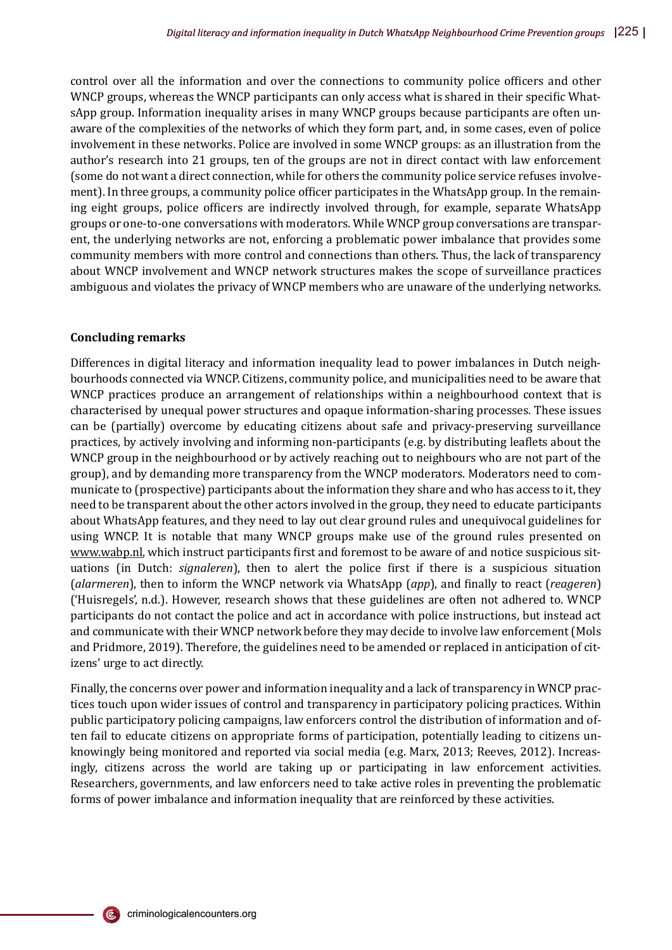control over all the information and over the connections to community police officers and other WNCP groups, whereas the WNCP participants can only access what is shared in their specific WhatsApp group. Information inequality arises in many WNCP groups because participants are often unaware of the complexities of the networks of which they form part, and, in some cases, even of police involvement in these networks. Police are involved in some WNCP groups: as an illustration from the author's research into 21 groups, ten of the groups are not in direct contact with law enforcement (some do not want a direct connection, while for others the community police service refuses involvement). In three groups, a community police officer participates in the WhatsApp group. In the remaining eight groups, police of�icers are indirectly involved through, for example, separate WhatsApp groups or one-to-one conversations with moderators. While WNCP group conversations are transparent, the underlying networks are not, enforcing a problematic power imbalance that provides some community members with more control and connections than others. Thus, the lack of transparency about WNCP involvement and WNCP network structures makes the scope of surveillance practices ambiguous and violates the privacy of WNCP members who are unaware of the underlying networks.

### **Concluding remarks**

Differences in digital literacy and information inequality lead to power imbalances in Dutch neighbourhoods connected via WNCP. Citizens, community police, and municipalities need to be aware that WNCP practices produce an arrangement of relationships within a neighbourhood context that is characterised by unequal power structures and opaque information-sharing processes. These issues can be (partially) overcome by educating citizens about safe and privacy-preserving surveillance practices, by actively involving and informing non-participants (e.g. by distributing leaflets about the WNCP group in the neighbourhood or by actively reaching out to neighbours who are not part of the group), and by demanding more transparency from the WNCP moderators. Moderators need to communicate to (prospective) participants about the information they share and who has access to it, they need to be transparent about the other actors involved in the group, they need to educate participants about WhatsApp features, and they need to lay out clear ground rules and unequivocal guidelines for using WNCP. It is notable that many WNCP groups make use of the ground rules presented on www.wabp.nl, which instruct participants first and foremost to be aware of and notice suspicious situations (in Dutch: *signaleren*), then to alert the police �irst if there is a suspicious situation (*alarmeren*), then to inform the WNCP network via WhatsApp (*app*), and �inally to react (*reageren*) ('Huisregels', n.d.). However, research shows that these guidelines are often not adhered to. WNCP participants do not contact the police and act in accordance with police instructions, but instead act and communicate with their WNCP network before they may decide to involve law enforcement (Mols and Pridmore, 2019). Therefore, the guidelines need to be amended or replaced in anticipation of citizens' urge to act directly.

Finally, the concerns over power and information inequality and a lack of transparency in WNCP practices touch upon wider issues of control and transparency in participatory policing practices. Within public participatory policing campaigns, law enforcers control the distribution of information and often fail to educate citizens on appropriate forms of participation, potentially leading to citizens unknowingly being monitored and reported via social media (e.g. Marx, 2013; Reeves, 2012). Increasingly, citizens across the world are taking up or participating in law enforcement activities. Researchers, governments, and law enforcers need to take active roles in preventing the problematic forms of power imbalance and information inequality that are reinforced by these activities.

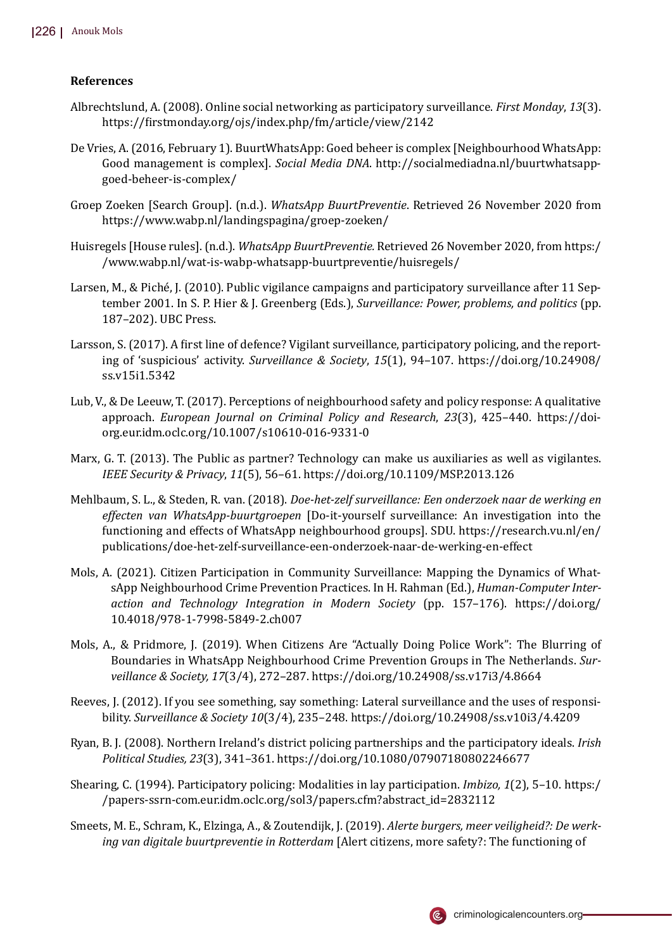# **References**

- Albrechtslund, A. (2008). Online social networking as participatory surveillance. *First Monday*, *13*(3). https://�irstmonday.org/ojs/index.php/fm/article/view/2142
- De Vries, A. (2016, February 1). BuurtWhatsApp: Goed beheer is complex [Neighbourhood WhatsApp: Good management is complex]. *Social Media DNA*. http://socialmediadna.nl/buurtwhatsappgoed-beheer-is-complex/
- Groep Zoeken [Search Group]. (n.d.). *WhatsApp BuurtPreventie*. Retrieved 26 November 2020 from https://www.wabp.nl/landingspagina/groep-zoeken/
- Huisregels [House rules]. (n.d.). *WhatsApp BuurtPreventie.* Retrieved 26 November 2020, from https:/ /www.wabp.nl/wat-is-wabp-whatsapp-buurtpreventie/huisregels/
- Larsen, M., & Piché, J. (2010). Public vigilance campaigns and participatory surveillance after 11 September 2001. In S. P. Hier & J. Greenberg (Eds.), *Surveillance: Power, problems, and politics* (pp. 187–202). UBC Press.
- Larsson, S. (2017). A first line of defence? Vigilant surveillance, participatory policing, and the reporting of 'suspicious' activity. *Surveillance & Society*, *15*(1), 94–107. https://doi.org/10.24908/ ss.v15i1.5342
- Lub, V., & De Leeuw, T. (2017). Perceptions of neighbourhood safety and policy response: A qualitative approach. *European Journal on Criminal Policy and Research*, *23*(3), 425–440. https://doiorg.eur.idm.oclc.org/10.1007/s10610-016-9331-0
- Marx, G. T. (2013). The Public as partner? Technology can make us auxiliaries as well as vigilantes. *IEEE Security & Privacy*, *11*(5), 56–61. https://doi.org/10.1109/MSP.2013.126
- Mehlbaum, S. L., & Steden, R. van. (2018). *Doe-het-zelf surveillance: Een onderzoek naar de werking en effecten van WhatsApp-buurtgroepen* [Do-it-yourself surveillance: An investigation into the functioning and effects of WhatsApp neighbourhood groups]. SDU. https://research.vu.nl/en/ publications/doe-het-zelf-surveillance-een-onderzoek-naar-de-werking-en-effect
- Mols, A. (2021). Citizen Participation in Community Surveillance: Mapping the Dynamics of WhatsApp Neighbourhood Crime Prevention Practices. In H. Rahman (Ed.), *Human-Computer Interaction and Technology Integration in Modern Society* (pp. 157–176). https://doi.org/ 10.4018/978-1-7998-5849-2.ch007
- Mols, A., & Pridmore, J. (2019). When Citizens Are "Actually Doing Police Work": The Blurring of Boundaries in WhatsApp Neighbourhood Crime Prevention Groups in The Netherlands. *Surveillance & Society, 17*(3/4), 272–287. https://doi.org/10.24908/ss.v17i3/4.8664
- Reeves, J. (2012). If you see something, say something: Lateral surveillance and the uses of responsibility. *Surveillance & Society 10*(3/4), 235–248. https://doi.org/10.24908/ss.v10i3/4.4209
- Ryan, B. J. (2008). Northern Ireland's district policing partnerships and the participatory ideals. *Irish Political Studies, 23*(3), 341–361. https://doi.org/10.1080/07907180802246677
- Shearing, C. (1994). Participatory policing: Modalities in lay participation. *Imbizo, 1*(2), 5–10. https:/ /papers-ssrn-com.eur.idm.oclc.org/sol3/papers.cfm?abstract\_id=2832112
- Smeets, M. E., Schram, K., Elzinga, A., & Zoutendijk, J. (2019). *Alerte burgers, meer veiligheid?: De werking van digitale buurtpreventie in Rotterdam* [Alert citizens, more safety?: The functioning of

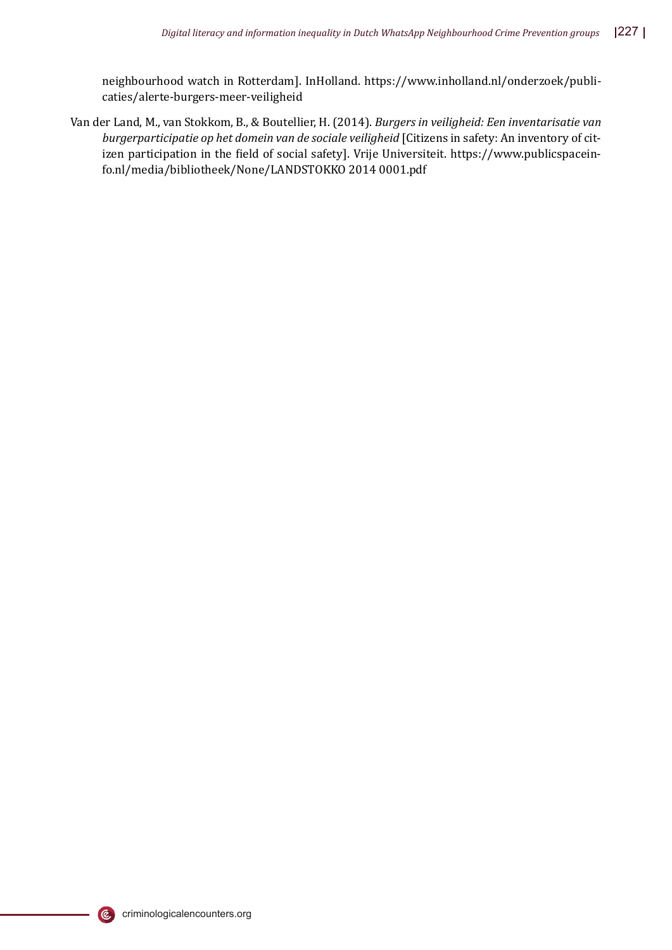neighbourhood watch in Rotterdam]. InHolland. https://www.inholland.nl/onderzoek/publicaties/alerte-burgers-meer-veiligheid

Van der Land, M., van Stokkom, B., & Boutellier, H. (2014). *Burgers in veiligheid: Een inventarisatie van burgerparticipatie op het domein van de sociale veiligheid* [Citizens in safety: An inventory of citizen participation in the field of social safety]. Vrije Universiteit. https://www.publicspaceinfo.nl/media/bibliotheek/None/LANDSTOKKO 2014 0001.pdf